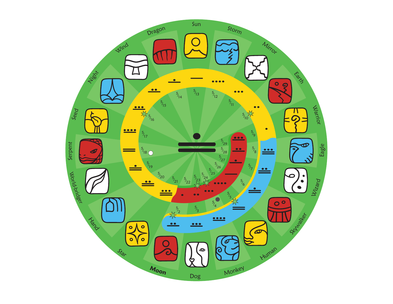